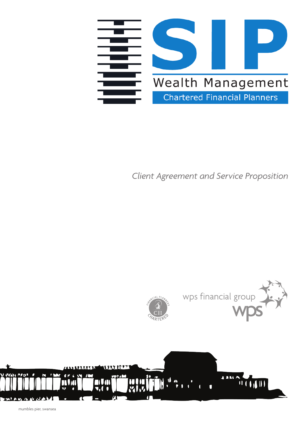

### *Client Agreement and Service Proposition*



mumbles pier, swansea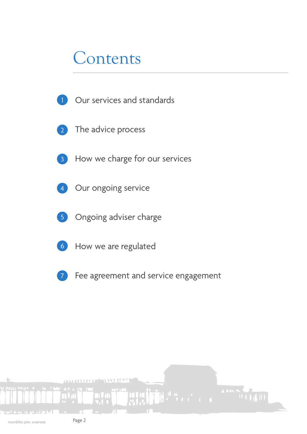### Contents

- Our services and standards 1
- The advice process 2
- 3
- How we charge for our services
- Our ongoing service 4
- Ongoing adviser charge 5
- How we are regulated 6
- Fee agreement and service engagement 7

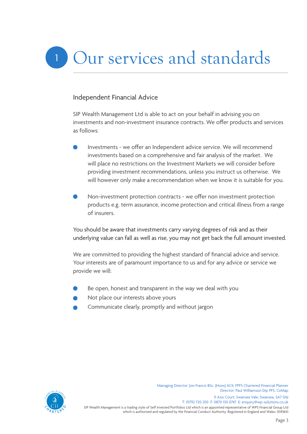# Our services and standards

#### Independent Financial Advice

SIP Wealth Management Ltd is able to act on your behalf in advising you on investments and non-investment insurance contracts. We offer products and services as follows:

- Investments we offer an Independent advice service. We will recommend investments based on a comprehensive and fair analysis of the market. We will place no restrictions on the Investment Markets we will consider before providing investment recommendations, unless you instruct us otherwise. We will however only make a recommendation when we know it is suitable for you.
- Non-investment protection contracts we offer non investment protection products e.g. term assurance, income protection and critical illness from a range of insurers.

You should be aware that investments carry varying degrees of risk and as their underlying value can fall as well as rise, you may not get back the full amount invested.

We are committed to providing the highest standard of financial advice and service. Your interests are of paramount importance to us and for any advice or service we provide we will:

- Be open, honest and transparent in the way we deal with you
- Not place our interests above yours
- Communicate clearly, promptly and without jargon



Managing Director: Jon Francis BSc. (Hons) ACII, FPFS Chartered Financial Planner Director: Paul Williamson Dip PFS, CeMap 11 Axis Court, Swansea Vale, Swansea, SA7 0AJ T: 01792 720 200 F: 0870 130 0747 E: enquiry@wp-solutions.co.uk

SIP Wealth Management is a trading style of Self Invested Portfolios Ltd which is an appointed representative of WPS Financial Group Ltd which is authorised and regulated by the Financial Conduct Authority. Registered in England and Wales: 0593651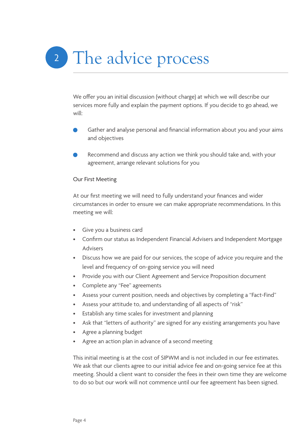# 2 The advice process

We offer you an initial discussion (without charge) at which we will describe our services more fully and explain the payment options. If you decide to go ahead, we will:

- Gather and analyse personal and financial information about you and your aims and objectives
- Recommend and discuss any action we think you should take and, with your agreement, arrange relevant solutions for you

#### Our First Meeting

At our first meeting we will need to fully understand your finances and wider circumstances in order to ensure we can make appropriate recommendations. In this meeting we will:

- Give you a business card
- Confirm our status as Independent Financial Advisers and Independent Mortgage Advisers
- Discuss how we are paid for our services, the scope of advice you require and the level and frequency of on-going service you will need
- Provide you with our Client Agreement and Service Proposition document
- Complete any "Fee" agreements
- Assess your current position, needs and objectives by completing a "Fact-Find"
- Assess your attitude to, and understanding of all aspects of "risk"
- Establish any time scales for investment and planning
- Ask that "letters of authority" are signed for any existing arrangements you have
- Agree a planning budget
- Agree an action plan in advance of a second meeting

This initial meeting is at the cost of SIPWM and is not included in our fee estimates. We ask that our clients agree to our initial advice fee and on-going service fee at this meeting. Should a client want to consider the fees in their own time they are welcome to do so but our work will not commence until our fee agreement has been signed.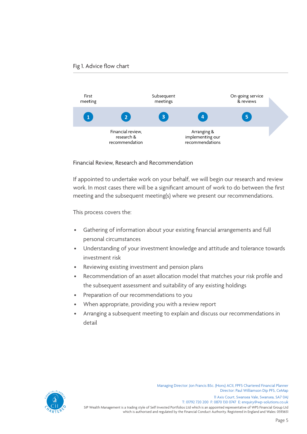#### Fig 1. Advice flow chart



Financial Review, Research and Recommendation

If appointed to undertake work on your behalf, we will begin our research and review work. In most cases there will be a significant amount of work to do between the first meeting and the subsequent meeting(s) where we present our recommendations.

This process covers the:

- Gathering of information about your existing financial arrangements and full personal circumstances
- Understanding of your investment knowledge and attitude and tolerance towards investment risk
- Reviewing existing investment and pension plans
- Recommendation of an asset allocation model that matches your risk profile and the subsequent assessment and suitability of any existing holdings
- Preparation of our recommendations to you
- When appropriate, providing you with a review report
- Arranging a subsequent meeting to explain and discuss our recommendations in detail



Managing Director: Jon Francis BSc. (Hons) ACII, FPFS Chartered Financial Planner Director: Paul Williamson Dip PFS, CeMap 11 Axis Court, Swansea Vale, Swansea, SA7 0AJ T: 01792 720 200 F: 0870 130 0747 E: enquiry@wp-solutions.co.uk

SIP Wealth Management is a trading style of Self Invested Portfolios Ltd which is an appointed representative of WPS Financial Group Ltd which is authorised and regulated by the Financial Conduct Authority. Registered in England and Wales: 0593651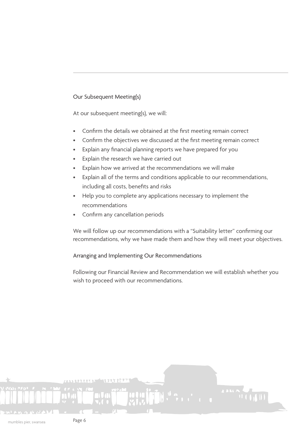#### Our Subsequent Meeting(s)

At our subsequent meeting(s), we will:

- Confirm the details we obtained at the first meeting remain correct
- Confirm the objectives we discussed at the first meeting remain correct
- Explain any financial planning reports we have prepared for you
- Explain the research we have carried out
- Explain how we arrived at the recommendations we will make
- Explain all of the terms and conditions applicable to our recommendations, including all costs, benefits and risks
- Help you to complete any applications necessary to implement the recommendations
- Confirm any cancellation periods

We will follow up our recommendations with a "Suitability letter" confirming our recommendations, why we have made them and how they will meet your objectives.

#### Arranging and Implementing Our Recommendations

Following our Financial Review and Recommendation we will establish whether you wish to proceed with our recommendations.

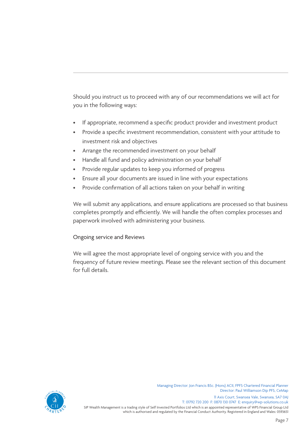Should you instruct us to proceed with any of our recommendations we will act for you in the following ways:

- If appropriate, recommend a specific product provider and investment product
- Provide a specific investment recommendation, consistent with your attitude to investment risk and objectives
- Arrange the recommended investment on your behalf
- Handle all fund and policy administration on your behalf
- Provide regular updates to keep you informed of progress
- Ensure all your documents are issued in line with your expectations
- Provide confirmation of all actions taken on your behalf in writing

We will submit any applications, and ensure applications are processed so that business completes promptly and efficiently. We will handle the often complex processes and paperwork involved with administering your business.

#### Ongoing service and Reviews

We will agree the most appropriate level of ongoing service with you and the frequency of future review meetings. Please see the relevant section of this document for full details.



Managing Director: Jon Francis BSc. (Hons) ACII, FPFS Chartered Financial Planner Director: Paul Williamson Dip PFS, CeMap 11 Axis Court, Swansea Vale, Swansea, SA7 0AJ T: 01792 720 200 F: 0870 130 0747 E: enquiry@wp-solutions.co.uk

SIP Wealth Management is a trading style of Self Invested Portfolios Ltd which is an appointed representative of WPS Financial Group Ltd which is authorised and regulated by the Financial Conduct Authority. Registered in England and Wales: 0593651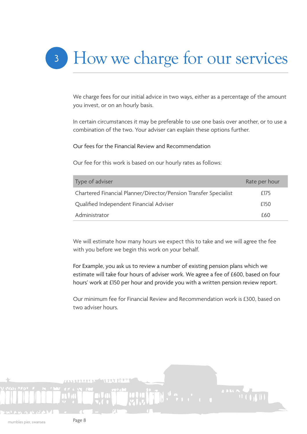## <sup>3</sup> How we charge for our services

We charge fees for our initial advice in two ways, either as a percentage of the amount you invest, or on an hourly basis.

In certain circumstances it may be preferable to use one basis over another, or to use a combination of the two. Your adviser can explain these options further.

Our fees for the Financial Review and Recommendation

Our fee for this work is based on our hourly rates as follows:

| Type of adviser                                                  | Rate per hour |
|------------------------------------------------------------------|---------------|
| Chartered Financial Planner/Director/Pension Transfer Specialist | £175          |
| Qualified Independent Financial Adviser                          | £150          |
| Administrator                                                    | £60           |

We will estimate how many hours we expect this to take and we will agree the fee with you before we begin this work on your behalf.

For Example, you ask us to review a number of existing pension plans which we estimate will take four hours of adviser work. We agree a fee of £600, based on four hours' work at £150 per hour and provide you with a written pension review report.

Our minimum fee for Financial Review and Recommendation work is £300, based on two adviser hours.

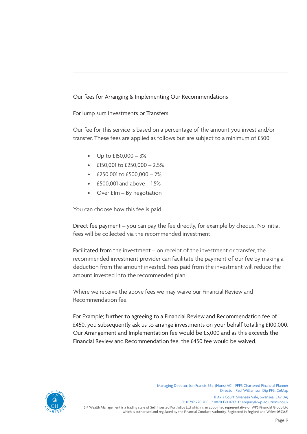#### Our fees for Arranging & Implementing Our Recommendations

#### For lump sum Investments or Transfers

Our fee for this service is based on a percentage of the amount you invest and/or transfer. These fees are applied as follows but are subject to a minimum of £300:

- Up to £150,000 3%
- £150,001 to £250,000  $2.5\%$
- £250,001 to  $£500,000 2%$
- $£500,001$  and above  $-1.5%$
- Over £1m By negotiation

You can choose how this fee is paid.

Direct fee payment – you can pay the fee directly, for example by cheque. No initial fees will be collected via the recommended investment.

Facilitated from the investment – on receipt of the investment or transfer, the recommended investment provider can facilitate the payment of our fee by making a deduction from the amount invested. Fees paid from the investment will reduce the amount invested into the recommended plan.

Where we receive the above fees we may waive our Financial Review and Recommendation fee.

For Example; further to agreeing to a Financial Review and Recommendation fee of £450, you subsequently ask us to arrange investments on your behalf totalling £100,000. Our Arrangement and Implementation fee would be £3,000 and as this exceeds the Financial Review and Recommendation fee, the £450 fee would be waived.



SIP Wealth Management is a trading style of Self Invested Portfolios Ltd which is an appointed representative of WPS Financial Group Ltd which is authorised and regulated by the Financial Conduct Authority. Registered in England and Wales: 0593651 Managing Director: Jon Francis BSc. (Hons) ACII, FPFS Chartered Financial Planner Director: Paul Williamson Dip PFS, CeMap 11 Axis Court, Swansea Vale, Swansea, SA7 0AJ T: 01792 720 200 F: 0870 130 0747 E: enquiry@wp-solutions.co.uk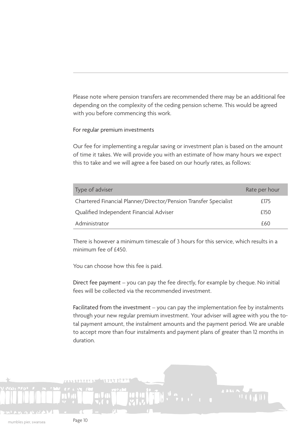Please note where pension transfers are recommended there may be an additional fee depending on the complexity of the ceding pension scheme. This would be agreed with you before commencing this work.

#### For regular premium investments

Our fee for implementing a regular saving or investment plan is based on the amount of time it takes. We will provide you with an estimate of how many hours we expect this to take and we will agree a fee based on our hourly rates, as follows:

| Type of adviser                                                  | Rate per hour |
|------------------------------------------------------------------|---------------|
| Chartered Financial Planner/Director/Pension Transfer Specialist | £175          |
| Qualified Independent Financial Adviser                          | £150          |
| Administrator                                                    | £60           |

There is however a minimum timescale of 3 hours for this service, which results in a minimum fee of £450.

You can choose how this fee is paid.

Direct fee payment – you can pay the fee directly, for example by cheque. No initial fees will be collected via the recommended investment.

Facilitated from the investment – you can pay the implementation fee by instalments through your new regular premium investment. Your adviser will agree with you the total payment amount, the instalment amounts and the payment period. We are unable to accept more than four instalments and payment plans of greater than 12 months in duration.

mumbles pier, swansea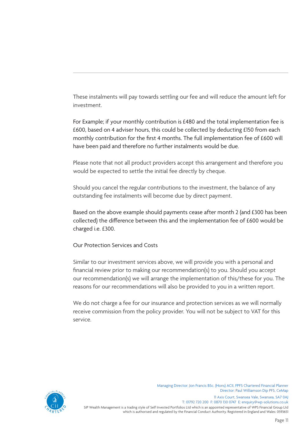These instalments will pay towards settling our fee and will reduce the amount left for investment.

For Example; if your monthly contribution is £480 and the total implementation fee is £600, based on 4 adviser hours, this could be collected by deducting £150 from each monthly contribution for the first 4 months. The full implementation fee of £600 will have been paid and therefore no further instalments would be due.

Please note that not all product providers accept this arrangement and therefore you would be expected to settle the initial fee directly by cheque.

Should you cancel the regular contributions to the investment, the balance of any outstanding fee instalments will become due by direct payment.

Based on the above example should payments cease after month 2 (and £300 has been collected) the difference between this and the implementation fee of £600 would be charged i.e. £300.

Our Protection Services and Costs

Similar to our investment services above, we will provide you with a personal and financial review prior to making our recommendation(s) to you. Should you accept our recommendation(s) we will arrange the implementation of this/these for you. The reasons for our recommendations will also be provided to you in a written report.

We do not charge a fee for our insurance and protection services as we will normally receive commission from the policy provider. You will not be subject to VAT for this service.



SIP Wealth Management is a trading style of Self Invested Portfolios Ltd which is an appointed representative of WPS Financial Group Ltd Managing Director: Jon Francis BSc. (Hons) ACII, FPFS Chartered Financial Planner Director: Paul Williamson Dip PFS, CeMap 11 Axis Court, Swansea Vale, Swansea, SA7 0AJ T: 01792 720 200 F: 0870 130 0747 E: enquiry@wp-solutions.co.uk

which is authorised and regulated by the Financial Conduct Authority. Registered in England and Wales: 0593651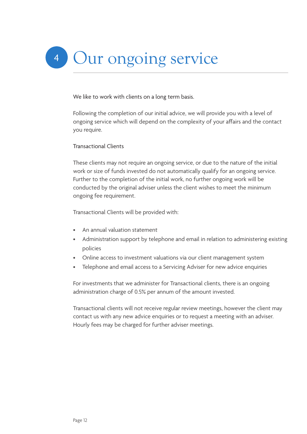#### We like to work with clients on a long term basis.

Following the completion of our initial advice, we will provide you with a level of ongoing service which will depend on the complexity of your affairs and the contact you require.

#### Transactional Clients

These clients may not require an ongoing service, or due to the nature of the initial work or size of funds invested do not automatically qualify for an ongoing service. Further to the completion of the initial work, no further ongoing work will be conducted by the original adviser unless the client wishes to meet the minimum ongoing fee requirement.

Transactional Clients will be provided with:

- An annual valuation statement
- Administration support by telephone and email in relation to administering existing policies
- Online access to investment valuations via our client management system
- Telephone and email access to a Servicing Adviser for new advice enquiries

For investments that we administer for Transactional clients, there is an ongoing administration charge of 0.5% per annum of the amount invested.

Transactional clients will not receive regular review meetings, however the client may contact us with any new advice enquiries or to request a meeting with an adviser. Hourly fees may be charged for further adviser meetings.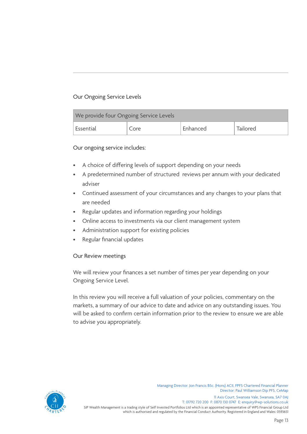#### Our Ongoing Service Levels

| We provide four Ongoing Service Levels |      |          |          |
|----------------------------------------|------|----------|----------|
| Essential                              | Core | Enhanced | Tailored |

#### Our ongoing service includes:

- A choice of differing levels of support depending on your needs
- A predetermined number of structured reviews per annum with your dedicated adviser
- Continued assessment of your circumstances and any changes to your plans that are needed
- Regular updates and information regarding your holdings
- Online access to investments via our client management system
- Administration support for existing policies
- Regular financial updates

#### Our Review meetings

We will review your finances a set number of times per year depending on your Ongoing Service Level.

In this review you will receive a full valuation of your policies, commentary on the markets, a summary of our advice to date and advice on any outstanding issues. You will be asked to confirm certain information prior to the review to ensure we are able to advise you appropriately.



SIP Wealth Management is a trading style of Self Invested Portfolios Ltd which is an appointed representative of WPS Financial Group Ltd Managing Director: Jon Francis BSc. (Hons) ACII, FPFS Chartered Financial Planner Director: Paul Williamson Dip PFS, CeMap 11 Axis Court, Swansea Vale, Swansea, SA7 0AJ T: 01792 720 200 F: 0870 130 0747 E: enquiry@wp-solutions.co.uk

which is authorised and regulated by the Financial Conduct Authority. Registered in England and Wales: 0593651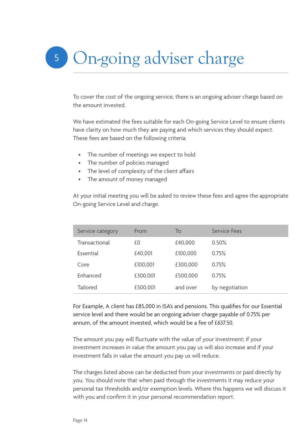## 5 On-going adviser charge

To cover the cost of the ongoing service, there is an ongoing adviser charge based on the amount invested.

We have estimated the fees suitable for each On-going Service Level to ensure clients have clarity on how much they are paying and which services they should expect. These fees are based on the following criteria:

- The number of meetings we expect to hold
- The number of policies managed
- The level of complexity of the client affairs
- The amount of money managed

At your initial meeting you will be asked to review these fees and agree the appropriate On-going Service Level and charge.

| Service category | From     | To       | Service Fees   |
|------------------|----------|----------|----------------|
| Transactional    | £0       | £40,000  | 0.50%          |
| Essential        | £40,001  | £100,000 | 0.75%          |
| Core             | £100,001 | £300,000 | 0.75%          |
| Enhanced         | £300,001 | £500,000 | 0.75%          |
| <b>Tailored</b>  | £500,001 | and over | by negotiation |

For Example, A client has £85,000 in ISA's and pensions. This qualifies for our Essential service level and there would be an ongoing adviser charge payable of 0.75% per annum, of the amount invested, which would be a fee of £637.50.

The amount you pay will fluctuate with the value of your investment; if your investment increases in value the amount you pay us will also increase and if your investment falls in value the amount you pay us will reduce.

The charges listed above can be deducted from your investments or paid directly by you. You should note that when paid through the investments it may reduce your personal tax thresholds and/or exemption levels. Where this happens we will discuss it with you and confirm it in your personal recommendation report.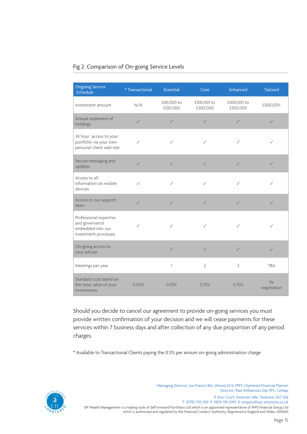#### Fig 2. Comparison of On-going Service Levels

| <b>Ongoing Service</b><br>Schedule                                                    | * Transactional | <b>Essential</b>       | Core                    | Enhanced                | <b>Tailored</b>   |
|---------------------------------------------------------------------------------------|-----------------|------------------------|-------------------------|-------------------------|-------------------|
| Investment amount                                                                     | N/A             | £40,000 to<br>£100,000 | £100,001 to<br>£300,000 | £300,001 to<br>£500,000 | £500,001+         |
| Annual statement of<br>holdings                                                       | $\checkmark$    | $\checkmark$           | $\sqrt{}$               | $\checkmark$            | $\checkmark$      |
| 24 hour access to your<br>portfolio via your own<br>personal client web-site          | $\checkmark$    | $\checkmark$           | $\checkmark$            | $\checkmark$            | $\checkmark$      |
| Secure messaging and<br>updates                                                       | $\sqrt{}$       | $\sqrt{}$              | $\sqrt{}$               | $\checkmark$            | $\checkmark$      |
| Access to all<br>information on mobile<br>devices                                     | $\checkmark$    | $\checkmark$           | $\checkmark$            | $\checkmark$            | $\checkmark$      |
| Access to our support<br>team                                                         | $\checkmark$    | $\checkmark$           | $\checkmark$            | $\checkmark$            | ✓                 |
| Professional expertise<br>and governance<br>embedded into our<br>investment processes | $\checkmark$    | $\checkmark$           | ✓                       | ✓                       | $\sqrt{}$         |
| On-going access to<br>your adviser                                                    |                 | $\checkmark$           | $\checkmark$            | $\checkmark$            | $\checkmark$      |
| Meetings per year                                                                     |                 | 1                      | $\overline{2}$          | 3                       | <b>TBA</b>        |
| Standard cost based on<br>the total value of your<br>investments                      | 0.50%           | 0.75%                  | 0.75%                   | 0.75%                   | by<br>negotiation |

Should you decide to cancel our agreement to provide on-going services you must provide written confirmation of your decision and we will cease payments for these services within 7 business days and after collection of any due proportion of any period charges.

\* Available to Transactional Clients paying the 0.5% per annum on-going administration charge



SIP Wealth Management is a trading style of Self Invested Portfolios Ltd which is an appointed representative of WPS Financial Group Ltd Managing Director: Jon Francis BSc. (Hons) ACII, FPFS Chartered Financial Planner Director: Paul Williamson Dip PFS, CeMap 11 Axis Court, Swansea Vale, Swansea, SA7 0AJ T: 01792 720 200 F: 0870 130 0747 E: enquiry@wp-solutions.co.uk

which is authorised and regulated by the Financial Conduct Authority. Registered in England and Wales: 0593651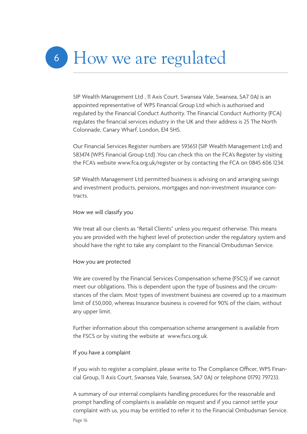# <sup>6</sup> How we are regulated

SIP Wealth Management Ltd , 11 Axis Court, Swansea Vale, Swansea, SA7 0AJ is an appointed representative of WPS Financial Group Ltd which is authorised and regulated by the Financial Conduct Authority. The Financial Conduct Authority (FCA) regulates the financial services industry in the UK and their address is 25 The North Colonnade, Canary Wharf, London, E14 5HS.

Our Financial Services Register numbers are 593651 (SIP Wealth Management Ltd) and 583474 (WPS Financial Group Ltd) .You can check this on the FCA's Register by visiting the FCA's website www.fca.org.uk/register or by contacting the FCA on 0845 606 1234.

SIP Wealth Management Ltd permitted business is advising on and arranging savings and investment products, pensions, mortgages and non-investment insurance contracts.

#### How we will classify you

We treat all our clients as "Retail Clients" unless you request otherwise. This means you are provided with the highest level of protection under the regulatory system and should have the right to take any complaint to the Financial Ombudsman Service.

#### How you are protected

We are covered by the Financial Services Compensation scheme (FSCS) if we cannot meet our obligations. This is dependent upon the type of business and the circumstances of the claim. Most types of investment business are covered up to a maximum limit of £50,000, whereas Insurance business is covered for 90% of the claim, without any upper limit.

Further information about this compensation scheme arrangement is available from the FSCS or by visiting the website at www.fscs.org.uk.

#### If you have a complaint

If you wish to register a complaint, please write to The Compliance Officer, WPS Financial Group, 11 Axis Court, Swansea Vale, Swansea, SA7 0AJ or telephone 01792 797233.

A summary of our internal complaints handling procedures for the reasonable and prompt handling of complaints is available on request and if you cannot settle your complaint with us, you may be entitled to refer it to the Financial Ombudsman Service.

Page 16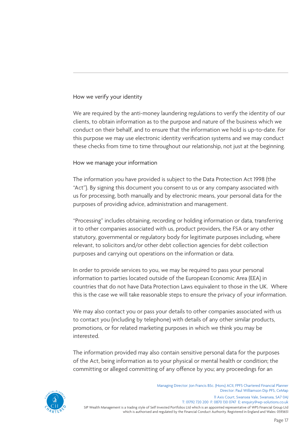#### How we verify your identity

We are required by the anti-money laundering regulations to verify the identity of our clients, to obtain information as to the purpose and nature of the business which we conduct on their behalf, and to ensure that the information we hold is up-to-date. For this purpose we may use electronic identity verification systems and we may conduct these checks from time to time throughout our relationship, not just at the beginning.

#### How we manage your information

The information you have provided is subject to the Data Protection Act 1998 (the "Act"). By signing this document you consent to us or any company associated with us for processing, both manually and by electronic means, your personal data for the purposes of providing advice, administration and management.

"Processing" includes obtaining, recording or holding information or data, transferring it to other companies associated with us, product providers, the FSA or any other statutory, governmental or regulatory body for legitimate purposes including, where relevant, to solicitors and/or other debt collection agencies for debt collection purposes and carrying out operations on the information or data.

In order to provide services to you, we may be required to pass your personal information to parties located outside of the European Economic Area (EEA) in countries that do not have Data Protection Laws equivalent to those in the UK. Where this is the case we will take reasonable steps to ensure the privacy of your information.

We may also contact you or pass your details to other companies associated with us to contact you (including by telephone) with details of any other similar products, promotions, or for related marketing purposes in which we think you may be interested.

The information provided may also contain sensitive personal data for the purposes of the Act, being information as to your physical or mental health or condition; the committing or alleged committing of any offence by you; any proceedings for an



SIP Wealth Management is a trading style of Self Invested Portfolios Ltd which is an appointed representative of WPS Financial Group Ltd which is authorised and regulated by the Financial Conduct Authority. Registered in England and Wales: 0593651 Managing Director: Jon Francis BSc. (Hons) ACII, FPFS Chartered Financial Planner Director: Paul Williamson Dip PFS, CeMap 11 Axis Court, Swansea Vale, Swansea, SA7 0AJ T: 01792 720 200 F: 0870 130 0747 E: enquiry@wp-solutions.co.uk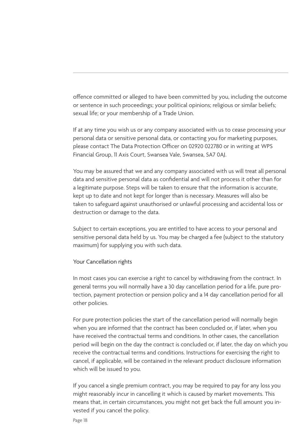offence committed or alleged to have been committed by you, including the outcome or sentence in such proceedings; your political opinions; religious or similar beliefs; sexual life; or your membership of a Trade Union.

If at any time you wish us or any company associated with us to cease processing your personal data or sensitive personal data, or contacting you for marketing purposes, please contact The Data Protection Officer on 02920 022780 or in writing at WPS Financial Group, 11 Axis Court, Swansea Vale, Swansea, SA7 0AJ.

You may be assured that we and any company associated with us will treat all personal data and sensitive personal data as confidential and will not process it other than for a legitimate purpose. Steps will be taken to ensure that the information is accurate, kept up to date and not kept for longer than is necessary. Measures will also be taken to safeguard against unauthorised or unlawful processing and accidental loss or destruction or damage to the data.

Subject to certain exceptions, you are entitled to have access to your personal and sensitive personal data held by us. You may be charged a fee (subject to the statutory maximum) for supplying you with such data.

#### Your Cancellation rights

In most cases you can exercise a right to cancel by withdrawing from the contract. In general terms you will normally have a 30 day cancellation period for a life, pure protection, payment protection or pension policy and a 14 day cancellation period for all other policies.

For pure protection policies the start of the cancellation period will normally begin when you are informed that the contract has been concluded or, if later, when you have received the contractual terms and conditions. In other cases, the cancellation period will begin on the day the contract is concluded or, if later, the day on which you receive the contractual terms and conditions. Instructions for exercising the right to cancel, if applicable, will be contained in the relevant product disclosure information which will be issued to you.

If you cancel a single premium contract, you may be required to pay for any loss you might reasonably incur in cancelling it which is caused by market movements. This means that, in certain circumstances, you might not get back the full amount you invested if you cancel the policy.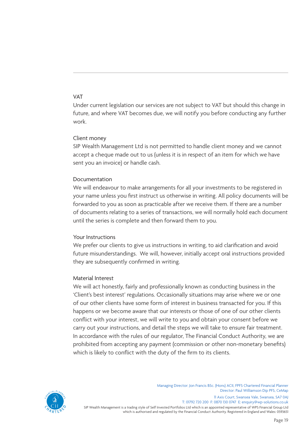#### VAT

Under current legislation our services are not subject to VAT but should this change in future, and where VAT becomes due, we will notify you before conducting any further work.

#### Client money

SIP Wealth Management Ltd is not permitted to handle client money and we cannot accept a cheque made out to us (unless it is in respect of an item for which we have sent you an invoice) or handle cash.

#### Documentation

We will endeavour to make arrangements for all your investments to be registered in your name unless you first instruct us otherwise in writing. All policy documents will be forwarded to you as soon as practicable after we receive them. If there are a number of documents relating to a series of transactions, we will normally hold each document until the series is complete and then forward them to you.

#### Your Instructions

We prefer our clients to give us instructions in writing, to aid clarification and avoid future misunderstandings. We will, however, initially accept oral instructions provided they are subsequently confirmed in writing.

#### Material Interest

We will act honestly, fairly and professionally known as conducting business in the 'Client's best interest' regulations. Occasionally situations may arise where we or one of our other clients have some form of interest in business transacted for you. If this happens or we become aware that our interests or those of one of our other clients conflict with your interest, we will write to you and obtain your consent before we carry out your instructions, and detail the steps we will take to ensure fair treatment. In accordance with the rules of our regulator, The Financial Conduct Authority, we are prohibited from accepting any payment (commission or other non-monetary benefits) which is likely to conflict with the duty of the firm to its clients.



SIP Wealth Management is a trading style of Self Invested Portfolios Ltd which is an appointed representative of WPS Financial Group Ltd which is authorised and regulated by the Financial Conduct Authority. Registered in England and Wales: 0593651 Managing Director: Jon Francis BSc. (Hons) ACII, FPFS Chartered Financial Planner Director: Paul Williamson Dip PFS, CeMap 11 Axis Court, Swansea Vale, Swansea, SA7 0AJ T: 01792 720 200 F: 0870 130 0747 E: enquiry@wp-solutions.co.uk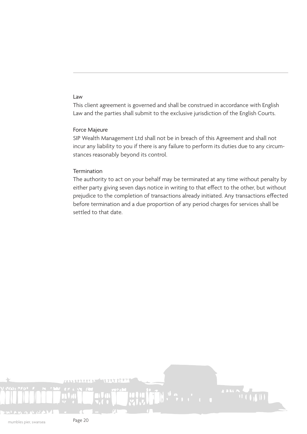#### Law

This client agreement is governed and shall be construed in accordance with English Law and the parties shall submit to the exclusive jurisdiction of the English Courts.

#### Force Majeure

SIP Wealth Management Ltd shall not be in breach of this Agreement and shall not incur any liability to you if there is any failure to perform its duties due to any circumstances reasonably beyond its control.

#### **Termination**

The authority to act on your behalf may be terminated at any time without penalty by either party giving seven days notice in writing to that effect to the other, but without prejudice to the completion of transactions already initiated. Any transactions effected before termination and a due proportion of any period charges for services shall be settled to that date.

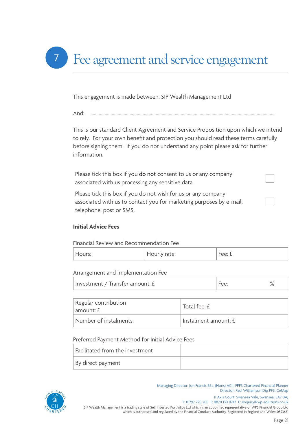

This engagement is made between: SIP Wealth Management Ltd

And: ..........................................................................................................................................................

This is our standard Client Agreement and Service Proposition upon which we intend to rely. For your own benefit and protection you should read these terms carefully before signing them. If you do not understand any point please ask for further information.

Please tick this box if you do not consent to us or any company associated with us processing any sensitive data.

Please tick this box if you do not wish for us or any company associated with us to contact you for marketing purposes by e-mail, telephone, post or SMS.

#### **Initial Advice Fees**

Financial Review and Recommendation Fee

| Hours: | Hourly rate: | Fee: £ |
|--------|--------------|--------|
|--------|--------------|--------|

Arrangement and Implementation Fee

| Investment / Transfer amount: £ |  |  |
|---------------------------------|--|--|
|---------------------------------|--|--|

| Regular contribution<br>  amount: £ | Total fee: £         |
|-------------------------------------|----------------------|
| Number of instalments:              | Instalment amount: £ |

#### Preferred Payment Method for Initial Advice Fees

| Facilitated from the investment |  |
|---------------------------------|--|
| By direct payment               |  |



Managing Director: Jon Francis BSc. (Hons) ACII, FPFS Chartered Financial Planner Director: Paul Williamson Dip PFS, CeMap 11 Axis Court, Swansea Vale, Swansea, SA7 0AJ

SIP Wealth Management is a trading style of Self Invested Portfolios Ltd which is an appointed representative of WPS Financial Group Ltd which is authorised and regulated by the Financial Conduct Authority. Registered in England and Wales: 0593651 T: 01792 720 200 F: 0870 130 0747 E: enquiry@wp-solutions.co.uk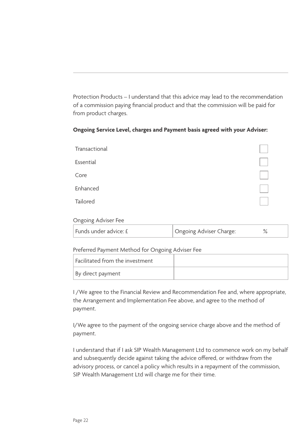Protection Products – I understand that this advice may lead to the recommendation of a commission paying financial product and that the commission will be paid for from product charges.

#### **Ongoing Service Level, charges and Payment basis agreed with your Adviser:**

| Transactional |  |
|---------------|--|
| Essential     |  |
| Core          |  |
| Enhanced      |  |
| Tailored      |  |
|               |  |

#### Ongoing Adviser Fee

| Funds under advice: £ | Ongoing Adviser Charge: |  |
|-----------------------|-------------------------|--|
|-----------------------|-------------------------|--|

#### Preferred Payment Method for Ongoing Adviser Fee

| $\mid$ Facilitated from the investment |  |
|----------------------------------------|--|
| By direct payment                      |  |

I /We agree to the Financial Review and Recommendation Fee and, where appropriate, the Arrangement and Implementation Fee above, and agree to the method of payment.

I/We agree to the payment of the ongoing service charge above and the method of payment.

I understand that if I ask SIP Wealth Management Ltd to commence work on my behalf and subsequently decide against taking the advice offered, or withdraw from the advisory process, or cancel a policy which results in a repayment of the commission, SIP Wealth Management Ltd will charge me for their time.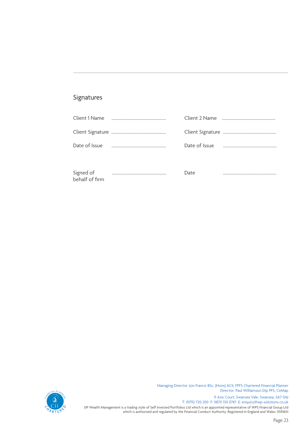### Signatures

| Date of Issue  |      |  |
|----------------|------|--|
|                |      |  |
| behalf of firm | Date |  |





SIP Wealth Management is a trading style of Self Invested Portfolios Ltd which is an appointed representative of WPS Financial Group Ltd which is authorised and regulated by the Financial Conduct Authority. Registered in England and Wales: 0593651 T: 01792 720 200 F: 0870 130 0747 E: enquiry@wp-solutions.co.uk